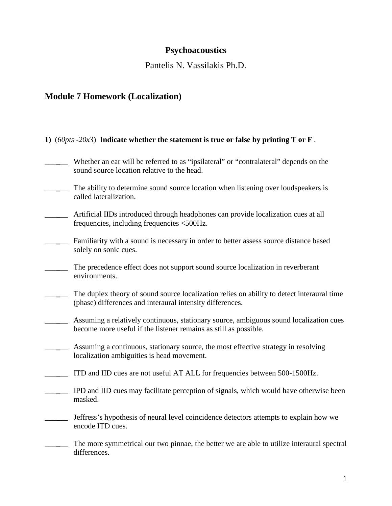# **Psychoacoustics**

Pantelis N. Vassilakis Ph.D.

# **Module 7 Homework (Localization)**

| 1) (60pts -20x3) Indicate whether the statement is true or false by printing T or F.                                                                       |
|------------------------------------------------------------------------------------------------------------------------------------------------------------|
| Whether an ear will be referred to as "ipsilateral" or "contralateral" depends on the<br>sound source location relative to the head.                       |
| The ability to determine sound source location when listening over loudspeakers is<br>called lateralization.                                               |
| Artificial IIDs introduced through headphones can provide localization cues at all<br>frequencies, including frequencies <500Hz.                           |
| Familiarity with a sound is necessary in order to better assess source distance based<br>solely on sonic cues.                                             |
| The precedence effect does not support sound source localization in reverberant<br>environments.                                                           |
| The duplex theory of sound source localization relies on ability to detect interaural time<br>(phase) differences and interaural intensity differences.    |
| Assuming a relatively continuous, stationary source, ambiguous sound localization cues<br>become more useful if the listener remains as still as possible. |
| Assuming a continuous, stationary source, the most effective strategy in resolving<br>localization ambiguities is head movement.                           |
| ITD and IID cues are not useful AT ALL for frequencies between 500-1500Hz.                                                                                 |
| IPD and IID cues may facilitate perception of signals, which would have otherwise been<br>masked.                                                          |
| Jeffress's hypothesis of neural level coincidence detectors attempts to explain how we<br>encode ITD cues.                                                 |
| The more symmetrical our two pinnae, the better we are able to utilize interaural spectral<br>differences.                                                 |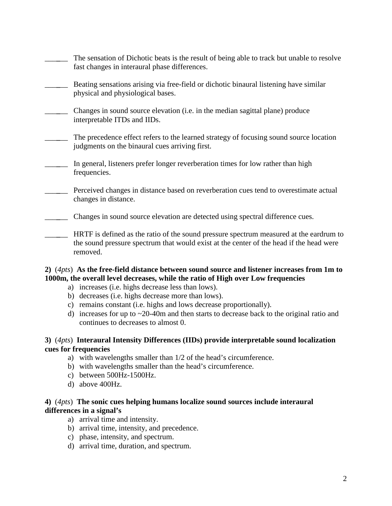| The sensation of Dichotic beats is the result of being able to track but unable to resolve<br>fast changes in interaural phase differences.                                                   |
|-----------------------------------------------------------------------------------------------------------------------------------------------------------------------------------------------|
| Beating sensations arising via free-field or dichotic binaural listening have similar<br>physical and physiological bases.                                                                    |
| Changes in sound source elevation (i.e. in the median sagittal plane) produce<br>interpretable ITDs and IIDs.                                                                                 |
| The precedence effect refers to the learned strategy of focusing sound source location<br>judgments on the binaural cues arriving first.                                                      |
| In general, listeners prefer longer reverberation times for low rather than high<br>frequencies.                                                                                              |
| Perceived changes in distance based on reverberation cues tend to overestimate actual<br>changes in distance.                                                                                 |
| Changes in sound source elevation are detected using spectral difference cues.                                                                                                                |
| HRTF is defined as the ratio of the sound pressure spectrum measured at the eardrum to<br>the sound pressure spectrum that would exist at the center of the head if the head were<br>removed. |

## **2)** (*4pts*) **As the free-field distance between sound source and listener increases from 1m to 1000m, the overall level decreases, while the ratio of High over Low frequencies**

- a) increases (i.e. highs decrease less than lows).
- b) decreases (i.e. highs decrease more than lows).
- c) remains constant (i.e. highs and lows decrease proportionally).
- d) increases for up to  $\sim$  20-40m and then starts to decrease back to the original ratio and continues to decreases to almost 0.

# **3)** (*4pts*) **Interaural Intensity Differences (IIDs) provide interpretable sound localization cues for frequencies**

- a) with wavelengths smaller than 1/2 of the head's circumference.
- b) with wavelengths smaller than the head's circumference.
- c) between 500Hz-1500Hz.
- d) above 400Hz.

# **4)** (*4pts*) **The sonic cues helping humans localize sound sources include interaural differences in a signal's**

- a) arrival time and intensity.
- b) arrival time, intensity, and precedence.
- c) phase, intensity, and spectrum.
- d) arrival time, duration, and spectrum.